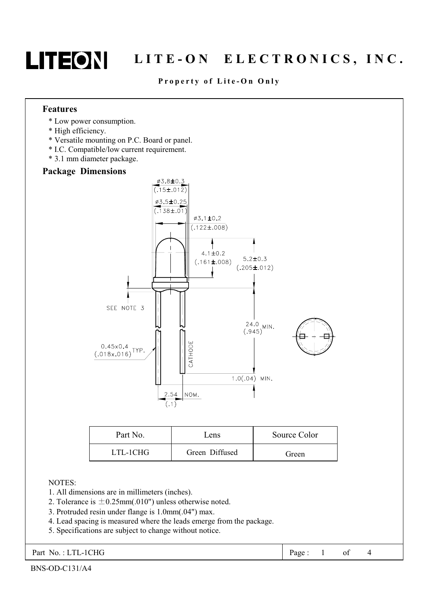

# LITEON LITE-ON ELECTRONICS, INC.

## Property of Lite-On Only

#### **Features**

- \* Low power consumption.
- \* High efficiency.
- \* Versatile mounting on P.C. Board or panel.
- \* I.C. Compatible/low current requirement.
- \* 3.1 mm diameter package.

### **Package Dimensions**



| Part No. | Lens           | Source Color |  |  |
|----------|----------------|--------------|--|--|
| LTL-1CHG | Green Diffused | Green        |  |  |

### **NOTES:**

- 1. All dimensions are in millimeters (inches).
- 2. Tolerance is  $\pm 0.25$ mm(.010") unless otherwise noted.
- 3. Protruded resin under flange is 1.0mm(.04") max.
- 4. Lead spacing is measured where the leads emerge from the package.
- 5. Specifications are subject to change without notice.

Part No.: LTL-1CHG

 $\overline{4}$ Page:  $\mathbf{1}$ of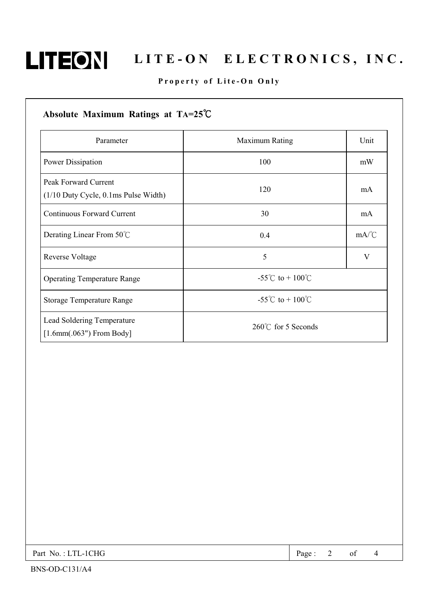

# LITEON LITE-ON ELECTRONICS, INC.

# Property of Lite-On Only

| Parameter                                                      | <b>Maximum Rating</b>      | Unit |
|----------------------------------------------------------------|----------------------------|------|
| Power Dissipation                                              | 100                        | mW   |
| Peak Forward Current<br>$(1/10$ Duty Cycle, 0.1ms Pulse Width) | 120                        | mA   |
| <b>Continuous Forward Current</b>                              | 30                         | mA   |
| Derating Linear From 50°C                                      | 0.4                        | mA/C |
| Reverse Voltage                                                | 5                          | V    |
| <b>Operating Temperature Range</b>                             | -55°C to + $100^{\circ}$ C |      |
| <b>Storage Temperature Range</b>                               | -55°C to + $100^{\circ}$ C |      |
| Lead Soldering Temperature<br>$[1.6mm(.063")$ From Body]       | 260°C for 5 Seconds        |      |

| Part No.: LTL-1CHG | Page: $2$ of $4$ |  |  |  |
|--------------------|------------------|--|--|--|
|--------------------|------------------|--|--|--|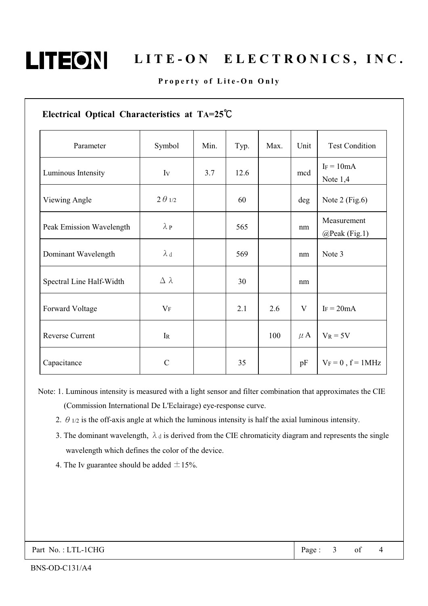

# LITE-ON ELECTRONICS, INC.

# Property of Lite-On Only

| Electrical Optical Characteristics at TA=25°C |                  |      |      |      |         |                              |
|-----------------------------------------------|------------------|------|------|------|---------|------------------------------|
| Parameter                                     | Symbol           | Min. | Typ. | Max. | Unit    | <b>Test Condition</b>        |
| Luminous Intensity                            | Iv               | 3.7  | 12.6 |      | mcd     | $I_F = 10mA$<br>Note $1,4$   |
| Viewing Angle                                 | $2 \theta_{1/2}$ |      | 60   |      | deg     | Note $2$ (Fig.6)             |
| Peak Emission Wavelength                      | $\lambda P$      |      | 565  |      | nm      | Measurement<br>@Peak (Fig.1) |
| Dominant Wavelength                           | $\lambda$ d      |      | 569  |      | nm      | Note 3                       |
| Spectral Line Half-Width                      | $\Delta \lambda$ |      | 30   |      | nm      |                              |
| Forward Voltage                               | $V_{\mathrm{F}}$ |      | 2.1  | 2.6  | V       | $I_F = 20mA$                 |
| Reverse Current                               | $\rm I\!R$       |      |      | 100  | $\mu$ A | $V_R = 5V$                   |
| Capacitance                                   | $\mathcal{C}$    |      | 35   |      | pF      | $V_F = 0$ , $f = 1MHz$       |

Note: 1. Luminous intensity is measured with a light sensor and filter combination that approximates the CIE (Commission International De L'Eclairage) eye-response curve.

- 2.  $\theta$  1/2 is the off-axis angle at which the luminous intensity is half the axial luminous intensity.
- 3. The dominant wavelength,  $\lambda_d$  is derived from the CIE chromaticity diagram and represents the single wavelength which defines the color of the device.
- 4. The Iv guarantee should be added  $\pm 15\%$ .

 $\overline{4}$